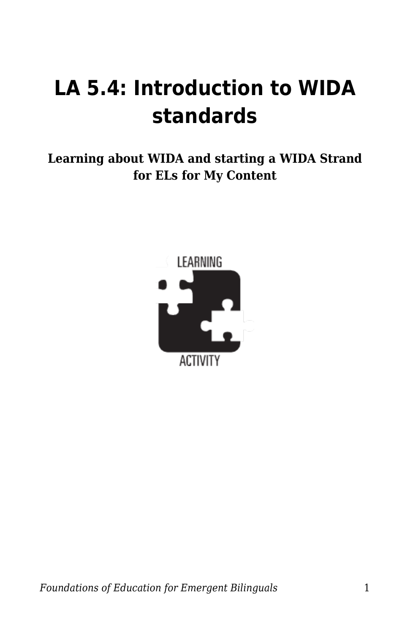## **LA 5.4: Introduction to WIDA standards**

**Learning about WIDA and starting a WIDA Strand for ELs for My Content**

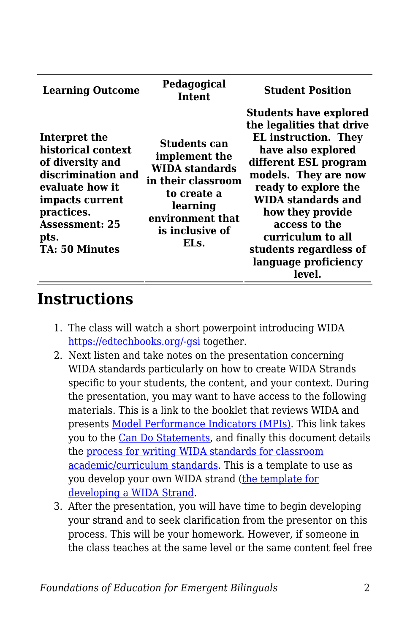| <b>Learning Outcome</b>                                                                                                                                                                     | Pedagogical<br><b>Intent</b>                                                                                                                           | <b>Student Position</b>                                                                                                                                                                                                                                                                                                              |
|---------------------------------------------------------------------------------------------------------------------------------------------------------------------------------------------|--------------------------------------------------------------------------------------------------------------------------------------------------------|--------------------------------------------------------------------------------------------------------------------------------------------------------------------------------------------------------------------------------------------------------------------------------------------------------------------------------------|
| Interpret the<br>historical context<br>of diversity and<br>discrimination and<br>evaluate how it<br>impacts current<br>practices.<br><b>Assessment: 25</b><br>pts.<br><b>TA: 50 Minutes</b> | Students can<br>implement the<br><b>WIDA standards</b><br>in their classroom<br>to create a<br>learning<br>environment that<br>is inclusive of<br>ELs. | <b>Students have explored</b><br>the legalities that drive<br><b>EL</b> instruction. They<br>have also explored<br>different ESL program<br>models. They are now<br>ready to explore the<br>WIDA standards and<br>how they provide<br>access to the<br>curriculum to all<br>students regardless of<br>language proficiency<br>level. |

## **Instructions**

- 1. The class will watch a short powerpoint introducing WIDA [https://edtechbooks.org/-gsi](https://www.slideshare.net/kmeza/wida-elp-standards-10385916) together.
- 2. Next listen and take notes on the presentation concerning WIDA standards particularly on how to create WIDA Strands specific to your students, the content, and your context. During the presentation, you may want to have access to the following materials. This is a link to the booklet that reviews WIDA and presents [Model Performance Indicators \(MPIs\).](https://wida.wisc.edu/sites/default/files/resource/2012-ELD-Standards.pdf) This link takes you to the [Can Do Statements,](https://byu.box.com/s/ycz8lt0t3ozmkbi2g77ejz1zt96wk21j) and finally this document details the [process for writing WIDA standards for classroom](https://byu.box.com/s/9z48giehhctvuez506f0x39e6dwrrm3d) [academic/curriculum standards.](https://byu.box.com/s/9z48giehhctvuez506f0x39e6dwrrm3d) This is a template to use as you develop your own WIDA strand ([the template for](https://byu.box.com/s/yekl24rm0txgm92sgnpalwa0geoqkr61) [developing a WIDA Strand](https://byu.box.com/s/yekl24rm0txgm92sgnpalwa0geoqkr61).
- 3. After the presentation, you will have time to begin developing your strand and to seek clarification from the presentor on this process. This will be your homework. However, if someone in the class teaches at the same level or the same content feel free